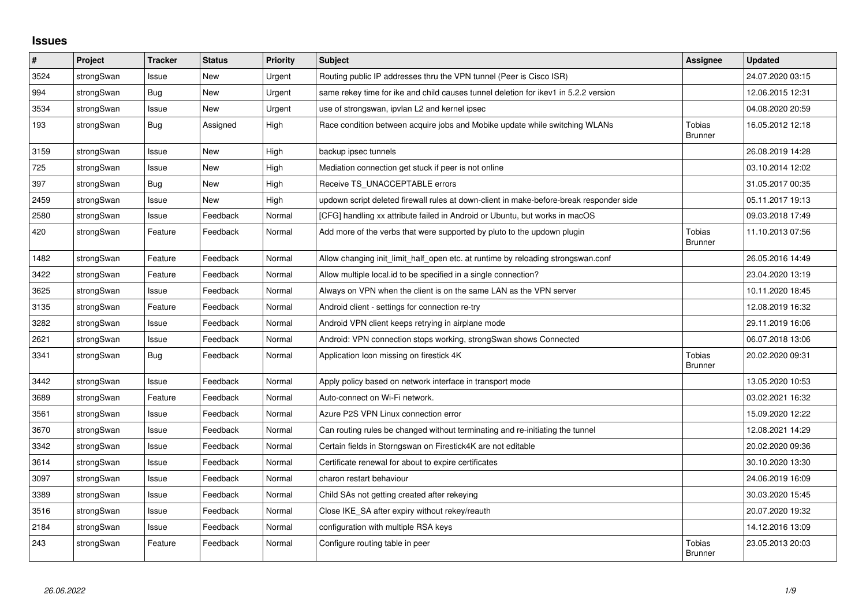## **Issues**

| #    | Project    | Tracker    | <b>Status</b> | <b>Priority</b> | <b>Subject</b>                                                                          | Assignee                        | Updated          |
|------|------------|------------|---------------|-----------------|-----------------------------------------------------------------------------------------|---------------------------------|------------------|
| 3524 | strongSwan | Issue      | New           | Urgent          | Routing public IP addresses thru the VPN tunnel (Peer is Cisco ISR)                     |                                 | 24.07.2020 03:15 |
| 994  | strongSwan | <b>Bug</b> | New           | Urgent          | same rekey time for ike and child causes tunnel deletion for ikev1 in 5.2.2 version     |                                 | 12.06.2015 12:31 |
| 3534 | strongSwan | Issue      | New           | Urgent          | use of strongswan, ipvlan L2 and kernel ipsec                                           |                                 | 04.08.2020 20:59 |
| 193  | strongSwan | <b>Bug</b> | Assigned      | High            | Race condition between acquire jobs and Mobike update while switching WLANs             | <b>Tobias</b><br><b>Brunner</b> | 16.05.2012 12:18 |
| 3159 | strongSwan | Issue      | <b>New</b>    | High            | backup ipsec tunnels                                                                    |                                 | 26.08.2019 14:28 |
| 725  | strongSwan | Issue      | <b>New</b>    | High            | Mediation connection get stuck if peer is not online                                    |                                 | 03.10.2014 12:02 |
| 397  | strongSwan | Bug        | New           | High            | Receive TS_UNACCEPTABLE errors                                                          |                                 | 31.05.2017 00:35 |
| 2459 | strongSwan | Issue      | New           | High            | updown script deleted firewall rules at down-client in make-before-break responder side |                                 | 05.11.2017 19:13 |
| 2580 | strongSwan | Issue      | Feedback      | Normal          | [CFG] handling xx attribute failed in Android or Ubuntu, but works in macOS             |                                 | 09.03.2018 17:49 |
| 420  | strongSwan | Feature    | Feedback      | Normal          | Add more of the verbs that were supported by pluto to the updown plugin                 | <b>Tobias</b><br><b>Brunner</b> | 11.10.2013 07:56 |
| 1482 | strongSwan | Feature    | Feedback      | Normal          | Allow changing init_limit_half_open etc. at runtime by reloading strongswan.conf        |                                 | 26.05.2016 14:49 |
| 3422 | strongSwan | Feature    | Feedback      | Normal          | Allow multiple local.id to be specified in a single connection?                         |                                 | 23.04.2020 13:19 |
| 3625 | strongSwan | Issue      | Feedback      | Normal          | Always on VPN when the client is on the same LAN as the VPN server                      |                                 | 10.11.2020 18:45 |
| 3135 | strongSwan | Feature    | Feedback      | Normal          | Android client - settings for connection re-try                                         |                                 | 12.08.2019 16:32 |
| 3282 | strongSwan | Issue      | Feedback      | Normal          | Android VPN client keeps retrying in airplane mode                                      |                                 | 29.11.2019 16:06 |
| 2621 | strongSwan | Issue      | Feedback      | Normal          | Android: VPN connection stops working, strongSwan shows Connected                       |                                 | 06.07.2018 13:06 |
| 3341 | strongSwan | <b>Bug</b> | Feedback      | Normal          | Application Icon missing on firestick 4K                                                | Tobias<br><b>Brunner</b>        | 20.02.2020 09:31 |
| 3442 | strongSwan | Issue      | Feedback      | Normal          | Apply policy based on network interface in transport mode                               |                                 | 13.05.2020 10:53 |
| 3689 | strongSwan | Feature    | Feedback      | Normal          | Auto-connect on Wi-Fi network.                                                          |                                 | 03.02.2021 16:32 |
| 3561 | strongSwan | Issue      | Feedback      | Normal          | Azure P2S VPN Linux connection error                                                    |                                 | 15.09.2020 12:22 |
| 3670 | strongSwan | Issue      | Feedback      | Normal          | Can routing rules be changed without terminating and re-initiating the tunnel           |                                 | 12.08.2021 14:29 |
| 3342 | strongSwan | Issue      | Feedback      | Normal          | Certain fields in Storngswan on Firestick4K are not editable                            |                                 | 20.02.2020 09:36 |
| 3614 | strongSwan | Issue      | Feedback      | Normal          | Certificate renewal for about to expire certificates                                    |                                 | 30.10.2020 13:30 |
| 3097 | strongSwan | Issue      | Feedback      | Normal          | charon restart behaviour                                                                |                                 | 24.06.2019 16:09 |
| 3389 | strongSwan | Issue      | Feedback      | Normal          | Child SAs not getting created after rekeying                                            |                                 | 30.03.2020 15:45 |
| 3516 | strongSwan | Issue      | Feedback      | Normal          | Close IKE_SA after expiry without rekey/reauth                                          |                                 | 20.07.2020 19:32 |
| 2184 | strongSwan | Issue      | Feedback      | Normal          | configuration with multiple RSA keys                                                    |                                 | 14.12.2016 13:09 |
| 243  | strongSwan | Feature    | Feedback      | Normal          | Configure routing table in peer                                                         | <b>Tobias</b><br><b>Brunner</b> | 23.05.2013 20:03 |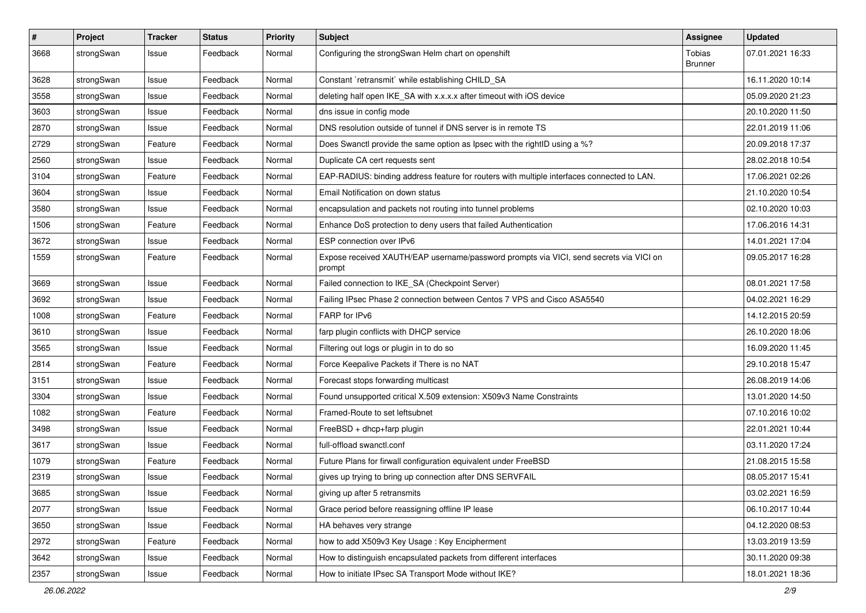| $\pmb{\#}$ | Project    | <b>Tracker</b> | <b>Status</b> | <b>Priority</b> | <b>Subject</b>                                                                                   | <b>Assignee</b>          | <b>Updated</b>   |
|------------|------------|----------------|---------------|-----------------|--------------------------------------------------------------------------------------------------|--------------------------|------------------|
| 3668       | strongSwan | Issue          | Feedback      | Normal          | Configuring the strongSwan Helm chart on openshift                                               | Tobias<br><b>Brunner</b> | 07.01.2021 16:33 |
| 3628       | strongSwan | Issue          | Feedback      | Normal          | Constant `retransmit` while establishing CHILD_SA                                                |                          | 16.11.2020 10:14 |
| 3558       | strongSwan | Issue          | Feedback      | Normal          | deleting half open IKE_SA with x.x.x.x after timeout with iOS device                             |                          | 05.09.2020 21:23 |
| 3603       | strongSwan | Issue          | Feedback      | Normal          | dns issue in config mode                                                                         |                          | 20.10.2020 11:50 |
| 2870       | strongSwan | Issue          | Feedback      | Normal          | DNS resolution outside of tunnel if DNS server is in remote TS                                   |                          | 22.01.2019 11:06 |
| 2729       | strongSwan | Feature        | Feedback      | Normal          | Does Swanctl provide the same option as Ipsec with the rightID using a %?                        |                          | 20.09.2018 17:37 |
| 2560       | strongSwan | Issue          | Feedback      | Normal          | Duplicate CA cert requests sent                                                                  |                          | 28.02.2018 10:54 |
| 3104       | strongSwan | Feature        | Feedback      | Normal          | EAP-RADIUS: binding address feature for routers with multiple interfaces connected to LAN.       |                          | 17.06.2021 02:26 |
| 3604       | strongSwan | Issue          | Feedback      | Normal          | Email Notification on down status                                                                |                          | 21.10.2020 10:54 |
| 3580       | strongSwan | Issue          | Feedback      | Normal          | encapsulation and packets not routing into tunnel problems                                       |                          | 02.10.2020 10:03 |
| 1506       | strongSwan | Feature        | Feedback      | Normal          | Enhance DoS protection to deny users that failed Authentication                                  |                          | 17.06.2016 14:31 |
| 3672       | strongSwan | Issue          | Feedback      | Normal          | ESP connection over IPv6                                                                         |                          | 14.01.2021 17:04 |
| 1559       | strongSwan | Feature        | Feedback      | Normal          | Expose received XAUTH/EAP username/password prompts via VICI, send secrets via VICI on<br>prompt |                          | 09.05.2017 16:28 |
| 3669       | strongSwan | Issue          | Feedback      | Normal          | Failed connection to IKE_SA (Checkpoint Server)                                                  |                          | 08.01.2021 17:58 |
| 3692       | strongSwan | Issue          | Feedback      | Normal          | Failing IPsec Phase 2 connection between Centos 7 VPS and Cisco ASA5540                          |                          | 04.02.2021 16:29 |
| 1008       | strongSwan | Feature        | Feedback      | Normal          | FARP for IPv6                                                                                    |                          | 14.12.2015 20:59 |
| 3610       | strongSwan | Issue          | Feedback      | Normal          | farp plugin conflicts with DHCP service                                                          |                          | 26.10.2020 18:06 |
| 3565       | strongSwan | Issue          | Feedback      | Normal          | Filtering out logs or plugin in to do so                                                         |                          | 16.09.2020 11:45 |
| 2814       | strongSwan | Feature        | Feedback      | Normal          | Force Keepalive Packets if There is no NAT                                                       |                          | 29.10.2018 15:47 |
| 3151       | strongSwan | Issue          | Feedback      | Normal          | Forecast stops forwarding multicast                                                              |                          | 26.08.2019 14:06 |
| 3304       | strongSwan | Issue          | Feedback      | Normal          | Found unsupported critical X.509 extension: X509v3 Name Constraints                              |                          | 13.01.2020 14:50 |
| 1082       | strongSwan | Feature        | Feedback      | Normal          | Framed-Route to set leftsubnet                                                                   |                          | 07.10.2016 10:02 |
| 3498       | strongSwan | Issue          | Feedback      | Normal          | FreeBSD + dhcp+farp plugin                                                                       |                          | 22.01.2021 10:44 |
| 3617       | strongSwan | Issue          | Feedback      | Normal          | full-offload swanctl.conf                                                                        |                          | 03.11.2020 17:24 |
| 1079       | strongSwan | Feature        | Feedback      | Normal          | Future Plans for firwall configuration equivalent under FreeBSD                                  |                          | 21.08.2015 15:58 |
| 2319       | strongSwan | Issue          | Feedback      | Normal          | gives up trying to bring up connection after DNS SERVFAIL                                        |                          | 08.05.2017 15:41 |
| 3685       | strongSwan | Issue          | Feedback      | Normal          | giving up after 5 retransmits                                                                    |                          | 03.02.2021 16:59 |
| 2077       | strongSwan | Issue          | Feedback      | Normal          | Grace period before reassigning offline IP lease                                                 |                          | 06.10.2017 10:44 |
| 3650       | strongSwan | Issue          | Feedback      | Normal          | HA behaves very strange                                                                          |                          | 04.12.2020 08:53 |
| 2972       | strongSwan | Feature        | Feedback      | Normal          | how to add X509v3 Key Usage: Key Encipherment                                                    |                          | 13.03.2019 13:59 |
| 3642       | strongSwan | Issue          | Feedback      | Normal          | How to distinguish encapsulated packets from different interfaces                                |                          | 30.11.2020 09:38 |
| 2357       | strongSwan | Issue          | Feedback      | Normal          | How to initiate IPsec SA Transport Mode without IKE?                                             |                          | 18.01.2021 18:36 |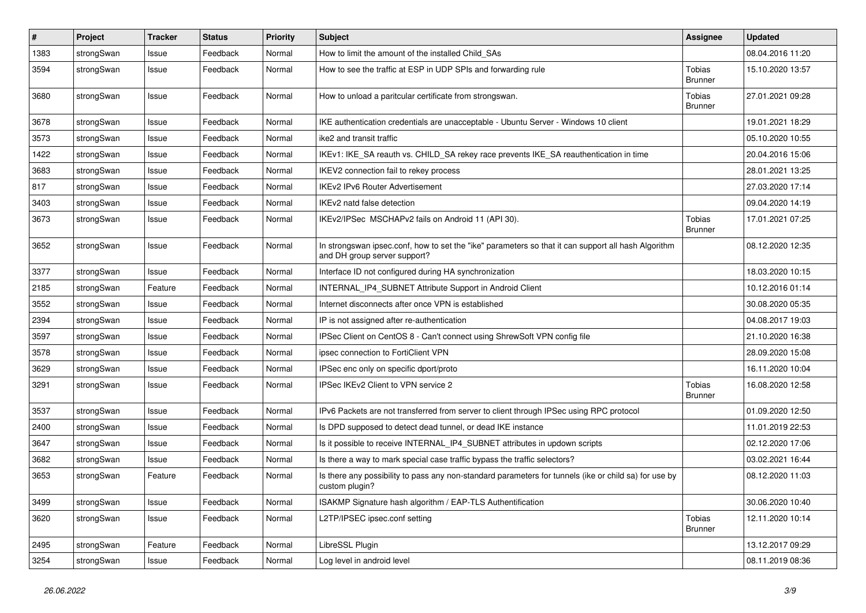| #    | Project    | <b>Tracker</b> | <b>Status</b> | <b>Priority</b> | <b>Subject</b>                                                                                                                      | <b>Assignee</b>          | <b>Updated</b>   |
|------|------------|----------------|---------------|-----------------|-------------------------------------------------------------------------------------------------------------------------------------|--------------------------|------------------|
| 1383 | strongSwan | Issue          | Feedback      | Normal          | How to limit the amount of the installed Child SAs                                                                                  |                          | 08.04.2016 11:20 |
| 3594 | strongSwan | Issue          | Feedback      | Normal          | How to see the traffic at ESP in UDP SPIs and forwarding rule                                                                       | Tobias<br>Brunner        | 15.10.2020 13:57 |
| 3680 | strongSwan | Issue          | Feedback      | Normal          | How to unload a paritcular certificate from strongswan.                                                                             | Tobias<br><b>Brunner</b> | 27.01.2021 09:28 |
| 3678 | strongSwan | Issue          | Feedback      | Normal          | IKE authentication credentials are unacceptable - Ubuntu Server - Windows 10 client                                                 |                          | 19.01.2021 18:29 |
| 3573 | strongSwan | Issue          | Feedback      | Normal          | ike2 and transit traffic                                                                                                            |                          | 05.10.2020 10:55 |
| 1422 | strongSwan | Issue          | Feedback      | Normal          | IKEv1: IKE_SA reauth vs. CHILD_SA rekey race prevents IKE_SA reauthentication in time                                               |                          | 20.04.2016 15:06 |
| 3683 | strongSwan | Issue          | Feedback      | Normal          | IKEV2 connection fail to rekey process                                                                                              |                          | 28.01.2021 13:25 |
| 817  | strongSwan | Issue          | Feedback      | Normal          | <b>IKEv2 IPv6 Router Advertisement</b>                                                                                              |                          | 27.03.2020 17:14 |
| 3403 | strongSwan | Issue          | Feedback      | Normal          | IKEv2 natd false detection                                                                                                          |                          | 09.04.2020 14:19 |
| 3673 | strongSwan | Issue          | Feedback      | Normal          | IKEv2/IPSec MSCHAPv2 fails on Android 11 (API 30).                                                                                  | Tobias<br><b>Brunner</b> | 17.01.2021 07:25 |
| 3652 | strongSwan | Issue          | Feedback      | Normal          | In strongswan ipsec.conf, how to set the "ike" parameters so that it can support all hash Algorithm<br>and DH group server support? |                          | 08.12.2020 12:35 |
| 3377 | strongSwan | Issue          | Feedback      | Normal          | Interface ID not configured during HA synchronization                                                                               |                          | 18.03.2020 10:15 |
| 2185 | strongSwan | Feature        | Feedback      | Normal          | INTERNAL_IP4_SUBNET Attribute Support in Android Client                                                                             |                          | 10.12.2016 01:14 |
| 3552 | strongSwan | Issue          | Feedback      | Normal          | Internet disconnects after once VPN is established                                                                                  |                          | 30.08.2020 05:35 |
| 2394 | strongSwan | Issue          | Feedback      | Normal          | IP is not assigned after re-authentication                                                                                          |                          | 04.08.2017 19:03 |
| 3597 | strongSwan | Issue          | Feedback      | Normal          | IPSec Client on CentOS 8 - Can't connect using ShrewSoft VPN config file                                                            |                          | 21.10.2020 16:38 |
| 3578 | strongSwan | Issue          | Feedback      | Normal          | ipsec connection to FortiClient VPN                                                                                                 |                          | 28.09.2020 15:08 |
| 3629 | strongSwan | Issue          | Feedback      | Normal          | IPSec enc only on specific dport/proto                                                                                              |                          | 16.11.2020 10:04 |
| 3291 | strongSwan | Issue          | Feedback      | Normal          | IPSec IKEv2 Client to VPN service 2                                                                                                 | Tobias<br><b>Brunner</b> | 16.08.2020 12:58 |
| 3537 | strongSwan | Issue          | Feedback      | Normal          | IPv6 Packets are not transferred from server to client through IPSec using RPC protocol                                             |                          | 01.09.2020 12:50 |
| 2400 | strongSwan | Issue          | Feedback      | Normal          | Is DPD supposed to detect dead tunnel, or dead IKE instance                                                                         |                          | 11.01.2019 22:53 |
| 3647 | strongSwan | Issue          | Feedback      | Normal          | Is it possible to receive INTERNAL_IP4_SUBNET attributes in updown scripts                                                          |                          | 02.12.2020 17:06 |
| 3682 | strongSwan | Issue          | Feedback      | Normal          | Is there a way to mark special case traffic bypass the traffic selectors?                                                           |                          | 03.02.2021 16:44 |
| 3653 | strongSwan | Feature        | Feedback      | Normal          | Is there any possibility to pass any non-standard parameters for tunnels (ike or child sa) for use by<br>custom plugin?             |                          | 08.12.2020 11:03 |
| 3499 | strongSwan | Issue          | Feedback      | Normal          | ISAKMP Signature hash algorithm / EAP-TLS Authentification                                                                          |                          | 30.06.2020 10:40 |
| 3620 | strongSwan | Issue          | Feedback      | Normal          | L2TP/IPSEC ipsec.conf setting                                                                                                       | Tobias<br><b>Brunner</b> | 12.11.2020 10:14 |
| 2495 | strongSwan | Feature        | Feedback      | Normal          | LibreSSL Plugin                                                                                                                     |                          | 13.12.2017 09:29 |
| 3254 | strongSwan | Issue          | Feedback      | Normal          | Log level in android level                                                                                                          |                          | 08.11.2019 08:36 |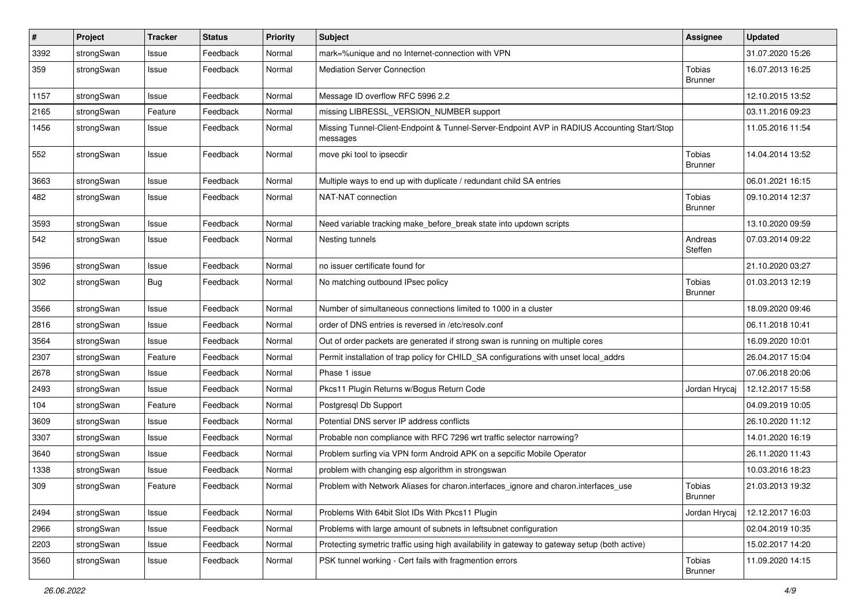| $\vert$ # | Project    | <b>Tracker</b> | <b>Status</b> | <b>Priority</b> | <b>Subject</b>                                                                                          | <b>Assignee</b>                 | <b>Updated</b>   |
|-----------|------------|----------------|---------------|-----------------|---------------------------------------------------------------------------------------------------------|---------------------------------|------------------|
| 3392      | strongSwan | Issue          | Feedback      | Normal          | mark=%unique and no Internet-connection with VPN                                                        |                                 | 31.07.2020 15:26 |
| 359       | strongSwan | Issue          | Feedback      | Normal          | <b>Mediation Server Connection</b>                                                                      | Tobias<br><b>Brunner</b>        | 16.07.2013 16:25 |
| 1157      | strongSwan | Issue          | Feedback      | Normal          | Message ID overflow RFC 5996 2.2                                                                        |                                 | 12.10.2015 13:52 |
| 2165      | strongSwan | Feature        | Feedback      | Normal          | missing LIBRESSL_VERSION_NUMBER support                                                                 |                                 | 03.11.2016 09:23 |
| 1456      | strongSwan | Issue          | Feedback      | Normal          | Missing Tunnel-Client-Endpoint & Tunnel-Server-Endpoint AVP in RADIUS Accounting Start/Stop<br>messages |                                 | 11.05.2016 11:54 |
| 552       | strongSwan | Issue          | Feedback      | Normal          | move pki tool to ipsecdir                                                                               | <b>Tobias</b><br><b>Brunner</b> | 14.04.2014 13:52 |
| 3663      | strongSwan | Issue          | Feedback      | Normal          | Multiple ways to end up with duplicate / redundant child SA entries                                     |                                 | 06.01.2021 16:15 |
| 482       | strongSwan | Issue          | Feedback      | Normal          | NAT-NAT connection                                                                                      | Tobias<br><b>Brunner</b>        | 09.10.2014 12:37 |
| 3593      | strongSwan | Issue          | Feedback      | Normal          | Need variable tracking make_before_break state into updown scripts                                      |                                 | 13.10.2020 09:59 |
| 542       | strongSwan | Issue          | Feedback      | Normal          | Nesting tunnels                                                                                         | Andreas<br>Steffen              | 07.03.2014 09:22 |
| 3596      | strongSwan | Issue          | Feedback      | Normal          | no issuer certificate found for                                                                         |                                 | 21.10.2020 03:27 |
| 302       | strongSwan | Bug            | Feedback      | Normal          | No matching outbound IPsec policy                                                                       | Tobias<br><b>Brunner</b>        | 01.03.2013 12:19 |
| 3566      | strongSwan | Issue          | Feedback      | Normal          | Number of simultaneous connections limited to 1000 in a cluster                                         |                                 | 18.09.2020 09:46 |
| 2816      | strongSwan | Issue          | Feedback      | Normal          | order of DNS entries is reversed in /etc/resolv.conf                                                    |                                 | 06.11.2018 10:41 |
| 3564      | strongSwan | Issue          | Feedback      | Normal          | Out of order packets are generated if strong swan is running on multiple cores                          |                                 | 16.09.2020 10:01 |
| 2307      | strongSwan | Feature        | Feedback      | Normal          | Permit installation of trap policy for CHILD_SA configurations with unset local_addrs                   |                                 | 26.04.2017 15:04 |
| 2678      | strongSwan | Issue          | Feedback      | Normal          | Phase 1 issue                                                                                           |                                 | 07.06.2018 20:06 |
| 2493      | strongSwan | Issue          | Feedback      | Normal          | Pkcs11 Plugin Returns w/Bogus Return Code                                                               | Jordan Hrycaj                   | 12.12.2017 15:58 |
| 104       | strongSwan | Feature        | Feedback      | Normal          | Postgresql Db Support                                                                                   |                                 | 04.09.2019 10:05 |
| 3609      | strongSwan | Issue          | Feedback      | Normal          | Potential DNS server IP address conflicts                                                               |                                 | 26.10.2020 11:12 |
| 3307      | strongSwan | Issue          | Feedback      | Normal          | Probable non compliance with RFC 7296 wrt traffic selector narrowing?                                   |                                 | 14.01.2020 16:19 |
| 3640      | strongSwan | Issue          | Feedback      | Normal          | Problem surfing via VPN form Android APK on a sepcific Mobile Operator                                  |                                 | 26.11.2020 11:43 |
| 1338      | strongSwan | Issue          | Feedback      | Normal          | problem with changing esp algorithm in strongswan                                                       |                                 | 10.03.2016 18:23 |
| 309       | strongSwan | Feature        | Feedback      | Normal          | Problem with Network Aliases for charon.interfaces ignore and charon.interfaces use                     | Tobias<br><b>Brunner</b>        | 21.03.2013 19:32 |
| 2494      | strongSwan | Issue          | Feedback      | Normal          | Problems With 64bit Slot IDs With Pkcs11 Plugin                                                         | Jordan Hrycaj                   | 12.12.2017 16:03 |
| 2966      | strongSwan | Issue          | Feedback      | Normal          | Problems with large amount of subnets in leftsubnet configuration                                       |                                 | 02.04.2019 10:35 |
| 2203      | strongSwan | Issue          | Feedback      | Normal          | Protecting symetric traffic using high availability in gateway to gateway setup (both active)           |                                 | 15.02.2017 14:20 |
| 3560      | strongSwan | Issue          | Feedback      | Normal          | PSK tunnel working - Cert fails with fragmention errors                                                 | <b>Tobias</b><br><b>Brunner</b> | 11.09.2020 14:15 |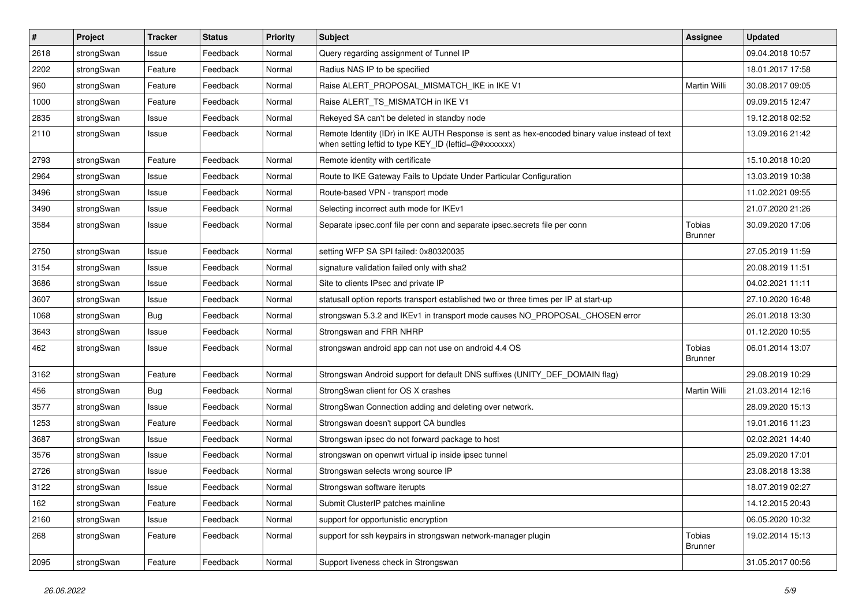| $\sharp$ | Project    | <b>Tracker</b> | <b>Status</b> | <b>Priority</b> | <b>Subject</b>                                                                                                                                          | <b>Assignee</b>                 | <b>Updated</b>   |
|----------|------------|----------------|---------------|-----------------|---------------------------------------------------------------------------------------------------------------------------------------------------------|---------------------------------|------------------|
| 2618     | strongSwan | Issue          | Feedback      | Normal          | Query regarding assignment of Tunnel IP                                                                                                                 |                                 | 09.04.2018 10:57 |
| 2202     | strongSwan | Feature        | Feedback      | Normal          | Radius NAS IP to be specified                                                                                                                           |                                 | 18.01.2017 17:58 |
| 960      | strongSwan | Feature        | Feedback      | Normal          | Raise ALERT PROPOSAL MISMATCH IKE in IKE V1                                                                                                             | Martin Willi                    | 30.08.2017 09:05 |
| 1000     | strongSwan | Feature        | Feedback      | Normal          | Raise ALERT TS MISMATCH in IKE V1                                                                                                                       |                                 | 09.09.2015 12:47 |
| 2835     | strongSwan | Issue          | Feedback      | Normal          | Rekeyed SA can't be deleted in standby node                                                                                                             |                                 | 19.12.2018 02:52 |
| 2110     | strongSwan | Issue          | Feedback      | Normal          | Remote Identity (IDr) in IKE AUTH Response is sent as hex-encoded binary value instead of text<br>when setting leftid to type KEY_ID (leftid=@#xxxxxxx) |                                 | 13.09.2016 21:42 |
| 2793     | strongSwan | Feature        | Feedback      | Normal          | Remote identity with certificate                                                                                                                        |                                 | 15.10.2018 10:20 |
| 2964     | strongSwan | Issue          | Feedback      | Normal          | Route to IKE Gateway Fails to Update Under Particular Configuration                                                                                     |                                 | 13.03.2019 10:38 |
| 3496     | strongSwan | Issue          | Feedback      | Normal          | Route-based VPN - transport mode                                                                                                                        |                                 | 11.02.2021 09:55 |
| 3490     | strongSwan | Issue          | Feedback      | Normal          | Selecting incorrect auth mode for IKEv1                                                                                                                 |                                 | 21.07.2020 21:26 |
| 3584     | strongSwan | Issue          | Feedback      | Normal          | Separate ipsec.conf file per conn and separate ipsec.secrets file per conn                                                                              | Tobias<br><b>Brunner</b>        | 30.09.2020 17:06 |
| 2750     | strongSwan | Issue          | Feedback      | Normal          | setting WFP SA SPI failed: 0x80320035                                                                                                                   |                                 | 27.05.2019 11:59 |
| 3154     | strongSwan | Issue          | Feedback      | Normal          | signature validation failed only with sha2                                                                                                              |                                 | 20.08.2019 11:51 |
| 3686     | strongSwan | Issue          | Feedback      | Normal          | Site to clients IPsec and private IP                                                                                                                    |                                 | 04.02.2021 11:11 |
| 3607     | strongSwan | Issue          | Feedback      | Normal          | statusall option reports transport established two or three times per IP at start-up                                                                    |                                 | 27.10.2020 16:48 |
| 1068     | strongSwan | <b>Bug</b>     | Feedback      | Normal          | strongswan 5.3.2 and IKEv1 in transport mode causes NO_PROPOSAL_CHOSEN error                                                                            |                                 | 26.01.2018 13:30 |
| 3643     | strongSwan | Issue          | Feedback      | Normal          | Strongswan and FRR NHRP                                                                                                                                 |                                 | 01.12.2020 10:55 |
| 462      | strongSwan | Issue          | Feedback      | Normal          | strongswan android app can not use on android 4.4 OS                                                                                                    | Tobias<br><b>Brunner</b>        | 06.01.2014 13:07 |
| 3162     | strongSwan | Feature        | Feedback      | Normal          | Strongswan Android support for default DNS suffixes (UNITY_DEF_DOMAIN flag)                                                                             |                                 | 29.08.2019 10:29 |
| 456      | strongSwan | Bug            | Feedback      | Normal          | StrongSwan client for OS X crashes                                                                                                                      | Martin Willi                    | 21.03.2014 12:16 |
| 3577     | strongSwan | Issue          | Feedback      | Normal          | StrongSwan Connection adding and deleting over network.                                                                                                 |                                 | 28.09.2020 15:13 |
| 1253     | strongSwan | Feature        | Feedback      | Normal          | Strongswan doesn't support CA bundles                                                                                                                   |                                 | 19.01.2016 11:23 |
| 3687     | strongSwan | Issue          | Feedback      | Normal          | Strongswan ipsec do not forward package to host                                                                                                         |                                 | 02.02.2021 14:40 |
| 3576     | strongSwan | Issue          | Feedback      | Normal          | strongswan on openwrt virtual ip inside ipsec tunnel                                                                                                    |                                 | 25.09.2020 17:01 |
| 2726     | strongSwan | Issue          | Feedback      | Normal          | Strongswan selects wrong source IP                                                                                                                      |                                 | 23.08.2018 13:38 |
| 3122     | strongSwan | Issue          | Feedback      | Normal          | Strongswan software iterupts                                                                                                                            |                                 | 18.07.2019 02:27 |
| 162      | strongSwan | Feature        | Feedback      | Normal          | Submit ClusterIP patches mainline                                                                                                                       |                                 | 14.12.2015 20:43 |
| 2160     | strongSwan | Issue          | Feedback      | Normal          | support for opportunistic encryption                                                                                                                    |                                 | 06.05.2020 10:32 |
| 268      | strongSwan | Feature        | Feedback      | Normal          | support for ssh keypairs in strongswan network-manager plugin                                                                                           | <b>Tobias</b><br><b>Brunner</b> | 19.02.2014 15:13 |
| 2095     | strongSwan | Feature        | Feedback      | Normal          | Support liveness check in Strongswan                                                                                                                    |                                 | 31.05.2017 00:56 |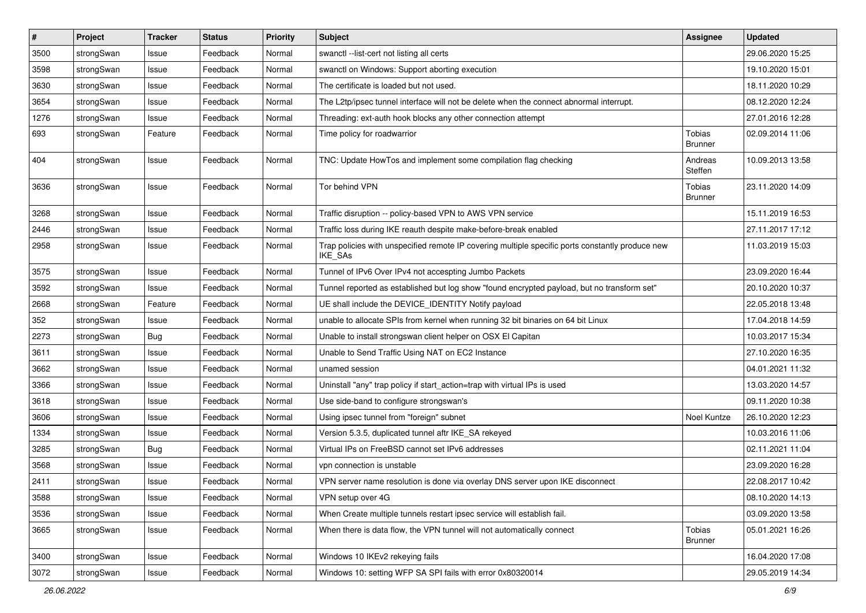| $\vert$ # | Project    | <b>Tracker</b> | <b>Status</b> | <b>Priority</b> | <b>Subject</b>                                                                                              | <b>Assignee</b>                 | <b>Updated</b>   |
|-----------|------------|----------------|---------------|-----------------|-------------------------------------------------------------------------------------------------------------|---------------------------------|------------------|
| 3500      | strongSwan | Issue          | Feedback      | Normal          | swanctl --list-cert not listing all certs                                                                   |                                 | 29.06.2020 15:25 |
| 3598      | strongSwan | Issue          | Feedback      | Normal          | swanctl on Windows: Support aborting execution                                                              |                                 | 19.10.2020 15:01 |
| 3630      | strongSwan | Issue          | Feedback      | Normal          | The certificate is loaded but not used.                                                                     |                                 | 18.11.2020 10:29 |
| 3654      | strongSwan | Issue          | Feedback      | Normal          | The L2tp/ipsec tunnel interface will not be delete when the connect abnormal interrupt.                     |                                 | 08.12.2020 12:24 |
| 1276      | strongSwan | Issue          | Feedback      | Normal          | Threading: ext-auth hook blocks any other connection attempt                                                |                                 | 27.01.2016 12:28 |
| 693       | strongSwan | Feature        | Feedback      | Normal          | Time policy for roadwarrior                                                                                 | <b>Tobias</b><br><b>Brunner</b> | 02.09.2014 11:06 |
| 404       | strongSwan | Issue          | Feedback      | Normal          | TNC: Update HowTos and implement some compilation flag checking                                             | Andreas<br>Steffen              | 10.09.2013 13:58 |
| 3636      | strongSwan | Issue          | Feedback      | Normal          | Tor behind VPN                                                                                              | Tobias<br><b>Brunner</b>        | 23.11.2020 14:09 |
| 3268      | strongSwan | Issue          | Feedback      | Normal          | Traffic disruption -- policy-based VPN to AWS VPN service                                                   |                                 | 15.11.2019 16:53 |
| 2446      | strongSwan | Issue          | Feedback      | Normal          | Traffic loss during IKE reauth despite make-before-break enabled                                            |                                 | 27.11.2017 17:12 |
| 2958      | strongSwan | Issue          | Feedback      | Normal          | Trap policies with unspecified remote IP covering multiple specific ports constantly produce new<br>IKE_SAs |                                 | 11.03.2019 15:03 |
| 3575      | strongSwan | Issue          | Feedback      | Normal          | Tunnel of IPv6 Over IPv4 not accespting Jumbo Packets                                                       |                                 | 23.09.2020 16:44 |
| 3592      | strongSwan | Issue          | Feedback      | Normal          | Tunnel reported as established but log show "found encrypted payload, but no transform set"                 |                                 | 20.10.2020 10:37 |
| 2668      | strongSwan | Feature        | Feedback      | Normal          | UE shall include the DEVICE IDENTITY Notify payload                                                         |                                 | 22.05.2018 13:48 |
| 352       | strongSwan | Issue          | Feedback      | Normal          | unable to allocate SPIs from kernel when running 32 bit binaries on 64 bit Linux                            |                                 | 17.04.2018 14:59 |
| 2273      | strongSwan | <b>Bug</b>     | Feedback      | Normal          | Unable to install strongswan client helper on OSX El Capitan                                                |                                 | 10.03.2017 15:34 |
| 3611      | strongSwan | Issue          | Feedback      | Normal          | Unable to Send Traffic Using NAT on EC2 Instance                                                            |                                 | 27.10.2020 16:35 |
| 3662      | strongSwan | Issue          | Feedback      | Normal          | unamed session                                                                                              |                                 | 04.01.2021 11:32 |
| 3366      | strongSwan | Issue          | Feedback      | Normal          | Uninstall "any" trap policy if start_action=trap with virtual IPs is used                                   |                                 | 13.03.2020 14:57 |
| 3618      | strongSwan | Issue          | Feedback      | Normal          | Use side-band to configure strongswan's                                                                     |                                 | 09.11.2020 10:38 |
| 3606      | strongSwan | Issue          | Feedback      | Normal          | Using ipsec tunnel from "foreign" subnet                                                                    | Noel Kuntze                     | 26.10.2020 12:23 |
| 1334      | strongSwan | Issue          | Feedback      | Normal          | Version 5.3.5, duplicated tunnel aftr IKE_SA rekeyed                                                        |                                 | 10.03.2016 11:06 |
| 3285      | strongSwan | Bug            | Feedback      | Normal          | Virtual IPs on FreeBSD cannot set IPv6 addresses                                                            |                                 | 02.11.2021 11:04 |
| 3568      | strongSwan | Issue          | Feedback      | Normal          | vpn connection is unstable                                                                                  |                                 | 23.09.2020 16:28 |
| 2411      | strongSwan | Issue          | Feedback      | Normal          | VPN server name resolution is done via overlay DNS server upon IKE disconnect                               |                                 | 22.08.2017 10:42 |
| 3588      | strongSwan | Issue          | Feedback      | Normal          | VPN setup over 4G                                                                                           |                                 | 08.10.2020 14:13 |
| 3536      | strongSwan | Issue          | Feedback      | Normal          | When Create multiple tunnels restart ipsec service will establish fail.                                     |                                 | 03.09.2020 13:58 |
| 3665      | strongSwan | Issue          | Feedback      | Normal          | When there is data flow, the VPN tunnel will not automatically connect                                      | Tobias<br><b>Brunner</b>        | 05.01.2021 16:26 |
| 3400      | strongSwan | Issue          | Feedback      | Normal          | Windows 10 IKEv2 rekeying fails                                                                             |                                 | 16.04.2020 17:08 |
| 3072      | strongSwan | Issue          | Feedback      | Normal          | Windows 10: setting WFP SA SPI fails with error 0x80320014                                                  |                                 | 29.05.2019 14:34 |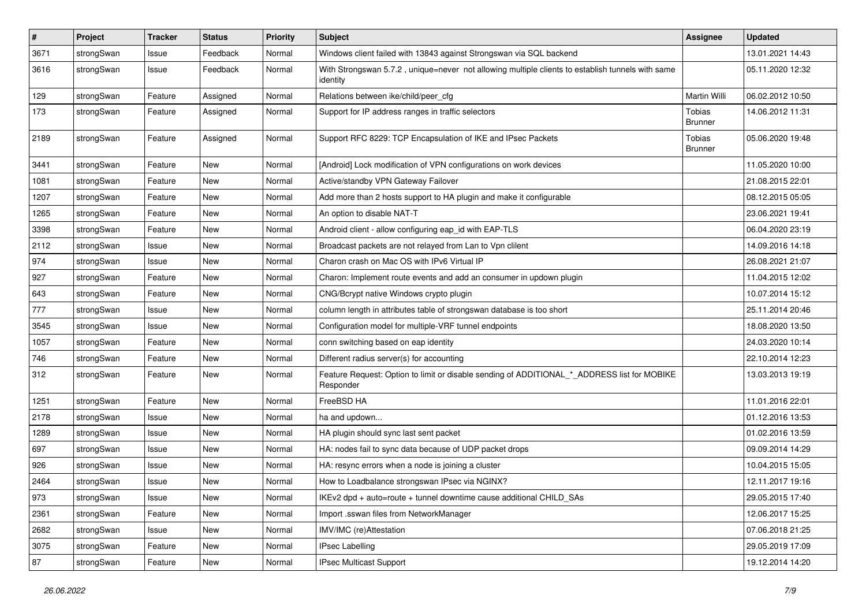| $\sharp$ | Project    | <b>Tracker</b> | <b>Status</b> | <b>Priority</b> | <b>Subject</b>                                                                                               | <b>Assignee</b>          | <b>Updated</b>   |
|----------|------------|----------------|---------------|-----------------|--------------------------------------------------------------------------------------------------------------|--------------------------|------------------|
| 3671     | strongSwan | Issue          | Feedback      | Normal          | Windows client failed with 13843 against Strongswan via SQL backend                                          |                          | 13.01.2021 14:43 |
| 3616     | strongSwan | Issue          | Feedback      | Normal          | With Strongswan 5.7.2, unique=never not allowing multiple clients to establish tunnels with same<br>identity |                          | 05.11.2020 12:32 |
| 129      | strongSwan | Feature        | Assigned      | Normal          | Relations between ike/child/peer_cfg                                                                         | Martin Willi             | 06.02.2012 10:50 |
| 173      | strongSwan | Feature        | Assigned      | Normal          | Support for IP address ranges in traffic selectors                                                           | Tobias<br><b>Brunner</b> | 14.06.2012 11:31 |
| 2189     | strongSwan | Feature        | Assigned      | Normal          | Support RFC 8229: TCP Encapsulation of IKE and IPsec Packets                                                 | Tobias<br><b>Brunner</b> | 05.06.2020 19:48 |
| 3441     | strongSwan | Feature        | <b>New</b>    | Normal          | [Android] Lock modification of VPN configurations on work devices                                            |                          | 11.05.2020 10:00 |
| 1081     | strongSwan | Feature        | <b>New</b>    | Normal          | Active/standby VPN Gateway Failover                                                                          |                          | 21.08.2015 22:01 |
| 1207     | strongSwan | Feature        | New           | Normal          | Add more than 2 hosts support to HA plugin and make it configurable                                          |                          | 08.12.2015 05:05 |
| 1265     | strongSwan | Feature        | New           | Normal          | An option to disable NAT-T                                                                                   |                          | 23.06.2021 19:41 |
| 3398     | strongSwan | Feature        | <b>New</b>    | Normal          | Android client - allow configuring eap_id with EAP-TLS                                                       |                          | 06.04.2020 23:19 |
| 2112     | strongSwan | Issue          | New           | Normal          | Broadcast packets are not relayed from Lan to Vpn clilent                                                    |                          | 14.09.2016 14:18 |
| 974      | strongSwan | Issue          | <b>New</b>    | Normal          | Charon crash on Mac OS with IPv6 Virtual IP                                                                  |                          | 26.08.2021 21:07 |
| 927      | strongSwan | Feature        | <b>New</b>    | Normal          | Charon: Implement route events and add an consumer in updown plugin                                          |                          | 11.04.2015 12:02 |
| 643      | strongSwan | Feature        | New           | Normal          | CNG/Bcrypt native Windows crypto plugin                                                                      |                          | 10.07.2014 15:12 |
| 777      | strongSwan | Issue          | <b>New</b>    | Normal          | column length in attributes table of strongswan database is too short                                        |                          | 25.11.2014 20:46 |
| 3545     | strongSwan | Issue          | New           | Normal          | Configuration model for multiple-VRF tunnel endpoints                                                        |                          | 18.08.2020 13:50 |
| 1057     | strongSwan | Feature        | New           | Normal          | conn switching based on eap identity                                                                         |                          | 24.03.2020 10:14 |
| 746      | strongSwan | Feature        | <b>New</b>    | Normal          | Different radius server(s) for accounting                                                                    |                          | 22.10.2014 12:23 |
| 312      | strongSwan | Feature        | New           | Normal          | Feature Request: Option to limit or disable sending of ADDITIONAL_*_ADDRESS list for MOBIKE<br>Responder     |                          | 13.03.2013 19:19 |
| 1251     | strongSwan | Feature        | New           | Normal          | FreeBSD HA                                                                                                   |                          | 11.01.2016 22:01 |
| 2178     | strongSwan | Issue          | New           | Normal          | ha and updown                                                                                                |                          | 01.12.2016 13:53 |
| 1289     | strongSwan | Issue          | <b>New</b>    | Normal          | HA plugin should sync last sent packet                                                                       |                          | 01.02.2016 13:59 |
| 697      | strongSwan | Issue          | <b>New</b>    | Normal          | HA: nodes fail to sync data because of UDP packet drops                                                      |                          | 09.09.2014 14:29 |
| 926      | strongSwan | Issue          | New           | Normal          | HA: resync errors when a node is joining a cluster                                                           |                          | 10.04.2015 15:05 |
| 2464     | strongSwan | Issue          | New           | Normal          | How to Loadbalance strongswan IPsec via NGINX?                                                               |                          | 12.11.2017 19:16 |
| 973      | strongSwan | Issue          | New           | Normal          | IKEv2 dpd + auto=route + tunnel downtime cause additional CHILD_SAs                                          |                          | 29.05.2015 17:40 |
| 2361     | strongSwan | Feature        | New           | Normal          | Import .sswan files from NetworkManager                                                                      |                          | 12.06.2017 15:25 |
| 2682     | strongSwan | Issue          | New           | Normal          | IMV/IMC (re)Attestation                                                                                      |                          | 07.06.2018 21:25 |
| 3075     | strongSwan | Feature        | New           | Normal          | <b>IPsec Labelling</b>                                                                                       |                          | 29.05.2019 17:09 |
| 87       | strongSwan | Feature        | New           | Normal          | IPsec Multicast Support                                                                                      |                          | 19.12.2014 14:20 |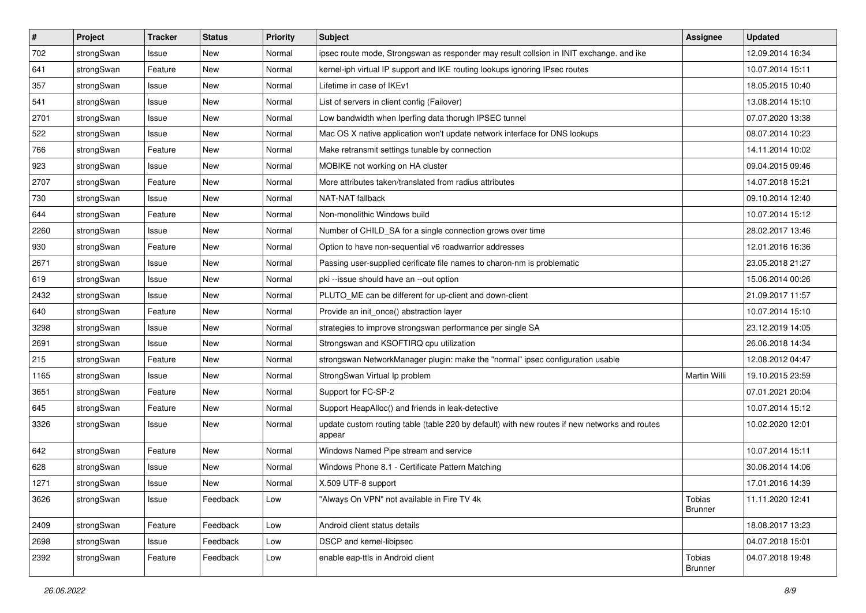| $\sharp$ | Project    | <b>Tracker</b> | <b>Status</b> | <b>Priority</b> | <b>Subject</b>                                                                                          | <b>Assignee</b>          | <b>Updated</b>   |
|----------|------------|----------------|---------------|-----------------|---------------------------------------------------------------------------------------------------------|--------------------------|------------------|
| 702      | strongSwan | Issue          | New           | Normal          | ipsec route mode, Strongswan as responder may result collsion in INIT exchange. and ike                 |                          | 12.09.2014 16:34 |
| 641      | strongSwan | Feature        | New           | Normal          | kernel-iph virtual IP support and IKE routing lookups ignoring IPsec routes                             |                          | 10.07.2014 15:11 |
| 357      | strongSwan | Issue          | New           | Normal          | Lifetime in case of IKEv1                                                                               |                          | 18.05.2015 10:40 |
| 541      | strongSwan | Issue          | New           | Normal          | List of servers in client config (Failover)                                                             |                          | 13.08.2014 15:10 |
| 2701     | strongSwan | Issue          | <b>New</b>    | Normal          | Low bandwidth when Iperfing data thorugh IPSEC tunnel                                                   |                          | 07.07.2020 13:38 |
| 522      | strongSwan | Issue          | <b>New</b>    | Normal          | Mac OS X native application won't update network interface for DNS lookups                              |                          | 08.07.2014 10:23 |
| 766      | strongSwan | Feature        | <b>New</b>    | Normal          | Make retransmit settings tunable by connection                                                          |                          | 14.11.2014 10:02 |
| 923      | strongSwan | Issue          | New           | Normal          | MOBIKE not working on HA cluster                                                                        |                          | 09.04.2015 09:46 |
| 2707     | strongSwan | Feature        | New           | Normal          | More attributes taken/translated from radius attributes                                                 |                          | 14.07.2018 15:21 |
| 730      | strongSwan | Issue          | New           | Normal          | NAT-NAT fallback                                                                                        |                          | 09.10.2014 12:40 |
| 644      | strongSwan | Feature        | <b>New</b>    | Normal          | Non-monolithic Windows build                                                                            |                          | 10.07.2014 15:12 |
| 2260     | strongSwan | Issue          | <b>New</b>    | Normal          | Number of CHILD_SA for a single connection grows over time                                              |                          | 28.02.2017 13:46 |
| 930      | strongSwan | Feature        | <b>New</b>    | Normal          | Option to have non-sequential v6 roadwarrior addresses                                                  |                          | 12.01.2016 16:36 |
| 2671     | strongSwan | Issue          | <b>New</b>    | Normal          | Passing user-supplied cerificate file names to charon-nm is problematic                                 |                          | 23.05.2018 21:27 |
| 619      | strongSwan | Issue          | <b>New</b>    | Normal          | pki --issue should have an --out option                                                                 |                          | 15.06.2014 00:26 |
| 2432     | strongSwan | Issue          | New           | Normal          | PLUTO_ME can be different for up-client and down-client                                                 |                          | 21.09.2017 11:57 |
| 640      | strongSwan | Feature        | <b>New</b>    | Normal          | Provide an init_once() abstraction layer                                                                |                          | 10.07.2014 15:10 |
| 3298     | strongSwan | Issue          | <b>New</b>    | Normal          | strategies to improve strongswan performance per single SA                                              |                          | 23.12.2019 14:05 |
| 2691     | strongSwan | Issue          | <b>New</b>    | Normal          | Strongswan and KSOFTIRQ cpu utilization                                                                 |                          | 26.06.2018 14:34 |
| 215      | strongSwan | Feature        | <b>New</b>    | Normal          | strongswan NetworkManager plugin: make the "normal" ipsec configuration usable                          |                          | 12.08.2012 04:47 |
| 1165     | strongSwan | Issue          | New           | Normal          | StrongSwan Virtual Ip problem                                                                           | Martin Willi             | 19.10.2015 23:59 |
| 3651     | strongSwan | Feature        | New           | Normal          | Support for FC-SP-2                                                                                     |                          | 07.01.2021 20:04 |
| 645      | strongSwan | Feature        | New           | Normal          | Support HeapAlloc() and friends in leak-detective                                                       |                          | 10.07.2014 15:12 |
| 3326     | strongSwan | Issue          | <b>New</b>    | Normal          | update custom routing table (table 220 by default) with new routes if new networks and routes<br>appear |                          | 10.02.2020 12:01 |
| 642      | strongSwan | Feature        | <b>New</b>    | Normal          | Windows Named Pipe stream and service                                                                   |                          | 10.07.2014 15:11 |
| 628      | strongSwan | Issue          | New           | Normal          | Windows Phone 8.1 - Certificate Pattern Matching                                                        |                          | 30.06.2014 14:06 |
| 1271     | strongSwan | Issue          | <b>New</b>    | Normal          | X.509 UTF-8 support                                                                                     |                          | 17.01.2016 14:39 |
| 3626     | strongSwan | Issue          | Feedback      | Low             | "Always On VPN" not available in Fire TV 4k                                                             | Tobias<br><b>Brunner</b> | 11.11.2020 12:41 |
| 2409     | strongSwan | Feature        | Feedback      | Low             | Android client status details                                                                           |                          | 18.08.2017 13:23 |
| 2698     | strongSwan | Issue          | Feedback      | Low             | DSCP and kernel-libipsec                                                                                |                          | 04.07.2018 15:01 |
| 2392     | strongSwan | Feature        | Feedback      | Low             | enable eap-ttls in Android client                                                                       | Tobias<br><b>Brunner</b> | 04.07.2018 19:48 |